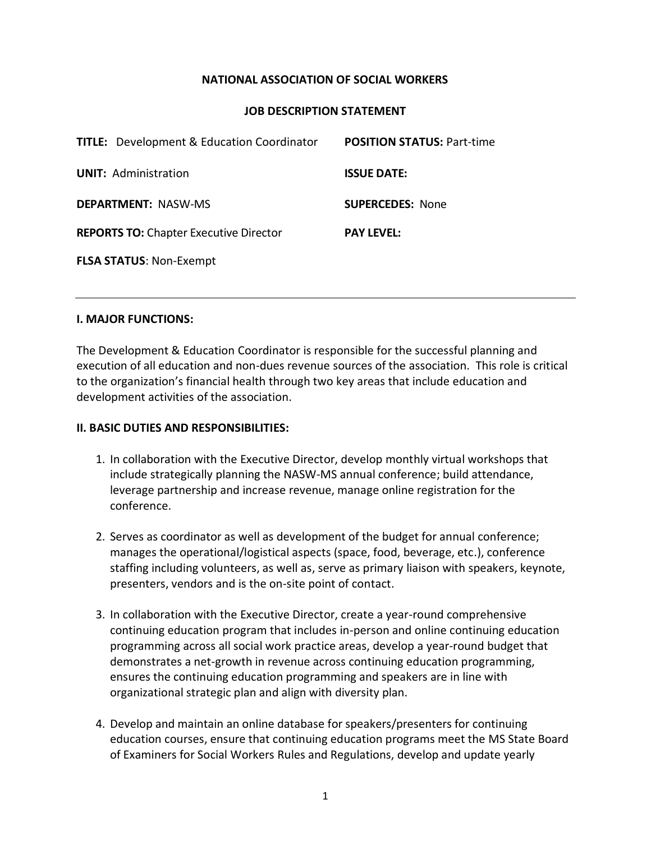### **NATIONAL ASSOCIATION OF SOCIAL WORKERS**

#### **JOB DESCRIPTION STATEMENT**

| <b>TITLE:</b> Development & Education Coordinator | <b>POSITION STATUS: Part-time</b> |
|---------------------------------------------------|-----------------------------------|
| <b>UNIT: Administration</b>                       | <b>ISSUE DATE:</b>                |
| <b>DEPARTMENT: NASW-MS</b>                        | <b>SUPERCEDES: None</b>           |
| <b>REPORTS TO: Chapter Executive Director</b>     | <b>PAY LEVEL:</b>                 |
| <b>FLSA STATUS: Non-Exempt</b>                    |                                   |

#### **I. MAJOR FUNCTIONS:**

The Development & Education Coordinator is responsible for the successful planning and execution of all education and non-dues revenue sources of the association. This role is critical to the organization's financial health through two key areas that include education and development activities of the association.

#### **II. BASIC DUTIES AND RESPONSIBILITIES:**

- 1. In collaboration with the Executive Director, develop monthly virtual workshops that include strategically planning the NASW-MS annual conference; build attendance, leverage partnership and increase revenue, manage online registration for the conference.
- 2. Serves as coordinator as well as development of the budget for annual conference; manages the operational/logistical aspects (space, food, beverage, etc.), conference staffing including volunteers, as well as, serve as primary liaison with speakers, keynote, presenters, vendors and is the on-site point of contact.
- 3. In collaboration with the Executive Director, create a year-round comprehensive continuing education program that includes in-person and online continuing education programming across all social work practice areas, develop a year-round budget that demonstrates a net-growth in revenue across continuing education programming, ensures the continuing education programming and speakers are in line with organizational strategic plan and align with diversity plan.
- 4. Develop and maintain an online database for speakers/presenters for continuing education courses, ensure that continuing education programs meet the MS State Board of Examiners for Social Workers Rules and Regulations, develop and update yearly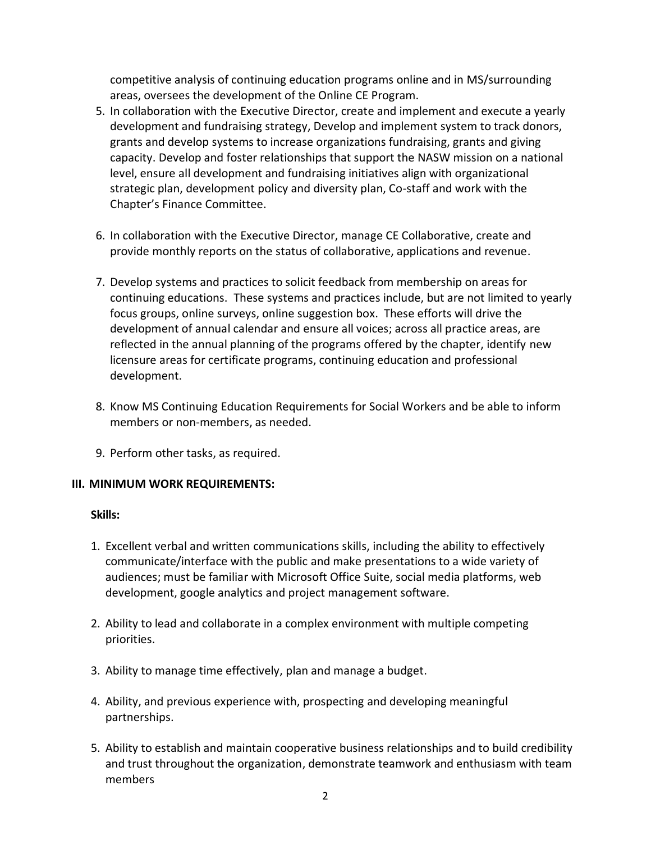competitive analysis of continuing education programs online and in MS/surrounding areas, oversees the development of the Online CE Program.

- 5. In collaboration with the Executive Director, create and implement and execute a yearly development and fundraising strategy, Develop and implement system to track donors, grants and develop systems to increase organizations fundraising, grants and giving capacity. Develop and foster relationships that support the NASW mission on a national level, ensure all development and fundraising initiatives align with organizational strategic plan, development policy and diversity plan, Co-staff and work with the Chapter's Finance Committee.
- 6. In collaboration with the Executive Director, manage CE Collaborative, create and provide monthly reports on the status of collaborative, applications and revenue.
- 7. Develop systems and practices to solicit feedback from membership on areas for continuing educations. These systems and practices include, but are not limited to yearly focus groups, online surveys, online suggestion box. These efforts will drive the development of annual calendar and ensure all voices; across all practice areas, are reflected in the annual planning of the programs offered by the chapter, identify new licensure areas for certificate programs, continuing education and professional development.
- 8. Know MS Continuing Education Requirements for Social Workers and be able to inform members or non-members, as needed.
- 9. Perform other tasks, as required.

### **III. MINIMUM WORK REQUIREMENTS:**

### **Skills:**

- 1. Excellent verbal and written communications skills, including the ability to effectively communicate/interface with the public and make presentations to a wide variety of audiences; must be familiar with Microsoft Office Suite, social media platforms, web development, google analytics and project management software.
- 2. Ability to lead and collaborate in a complex environment with multiple competing priorities.
- 3. Ability to manage time effectively, plan and manage a budget.
- 4. Ability, and previous experience with, prospecting and developing meaningful partnerships.
- 5. Ability to establish and maintain cooperative business relationships and to build credibility and trust throughout the organization, demonstrate teamwork and enthusiasm with team members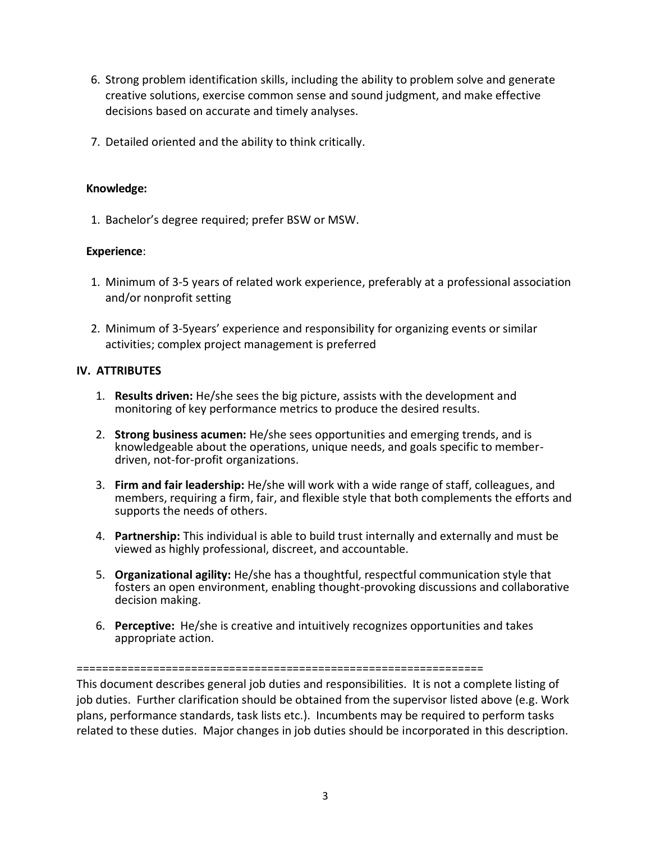- 6. Strong problem identification skills, including the ability to problem solve and generate creative solutions, exercise common sense and sound judgment, and make effective decisions based on accurate and timely analyses.
- 7. Detailed oriented and the ability to think critically.

## **Knowledge:**

1. Bachelor's degree required; prefer BSW or MSW.

# **Experience**:

- 1. Minimum of 3-5 years of related work experience, preferably at a professional association and/or nonprofit setting
- 2. Minimum of 3-5years' experience and responsibility for organizing events or similar activities; complex project management is preferred

# **IV. ATTRIBUTES**

- 1. **Results driven:** He/she sees the big picture, assists with the development and monitoring of key performance metrics to produce the desired results.
- 2. **Strong business acumen:** He/she sees opportunities and emerging trends, and is knowledgeable about the operations, unique needs, and goals specific to memberdriven, not-for-profit organizations.
- 3. **Firm and fair leadership:** He/she will work with a wide range of staff, colleagues, and members, requiring a firm, fair, and flexible style that both complements the efforts and supports the needs of others.
- 4. **Partnership:** This individual is able to build trust internally and externally and must be viewed as highly professional, discreet, and accountable.
- 5. **Organizational agility:** He/she has a thoughtful, respectful communication style that fosters an open environment, enabling thought-provoking discussions and collaborative decision making.
- 6. **Perceptive:** He/she is creative and intuitively recognizes opportunities and takes appropriate action.

#### ================================================================

This document describes general job duties and responsibilities. It is not a complete listing of job duties. Further clarification should be obtained from the supervisor listed above (e.g. Work plans, performance standards, task lists etc.). Incumbents may be required to perform tasks related to these duties. Major changes in job duties should be incorporated in this description.